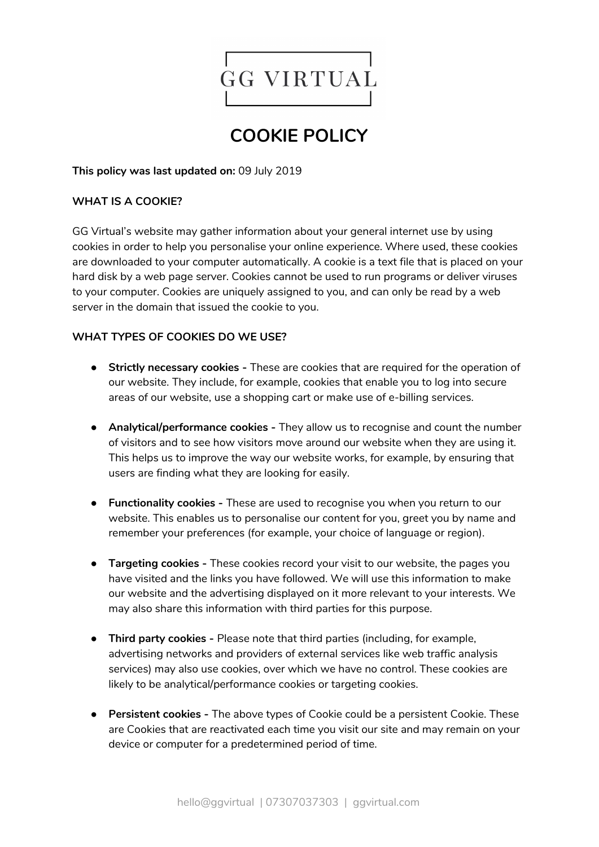

# **COOKIE POLICY**

**This policy was last updated on:** 09 July 2019

## **WHAT IS A COOKIE?**

GG Virtual's website may gather information about your general internet use by using cookies in order to help you personalise your online experience. Where used, these cookies are downloaded to your computer automatically. A cookie is a text file that is placed on your hard disk by a web page server. Cookies cannot be used to run programs or deliver viruses to your computer. Cookies are uniquely assigned to you, and can only be read by a web server in the domain that issued the cookie to you.

## **WHAT TYPES OF COOKIES DO WE USE?**

- **Strictly necessary cookies -** These are cookies that are required for the operation of our website. They include, for example, cookies that enable you to log into secure areas of our website, use a shopping cart or make use of e-billing services.
- **Analytical/performance cookies -** They allow us to recognise and count the number of visitors and to see how visitors move around our website when they are using it. This helps us to improve the way our website works, for example, by ensuring that users are finding what they are looking for easily.
- **Functionality cookies -** These are used to recognise you when you return to our website. This enables us to personalise our content for you, greet you by name and remember your preferences (for example, your choice of language or region).
- **Targeting cookies -** These cookies record your visit to our website, the pages you have visited and the links you have followed. We will use this information to make our website and the advertising displayed on it more relevant to your interests. We may also share this information with third parties for this purpose.
- **Third party cookies -** Please note that third parties (including, for example, advertising networks and providers of external services like web traffic analysis services) may also use cookies, over which we have no control. These cookies are likely to be analytical/performance cookies or targeting cookies.
- **● Persistent cookies -** The above types of Cookie could be a persistent Cookie. These are Cookies that are reactivated each time you visit our site and may remain on your device or computer for a predetermined period of time.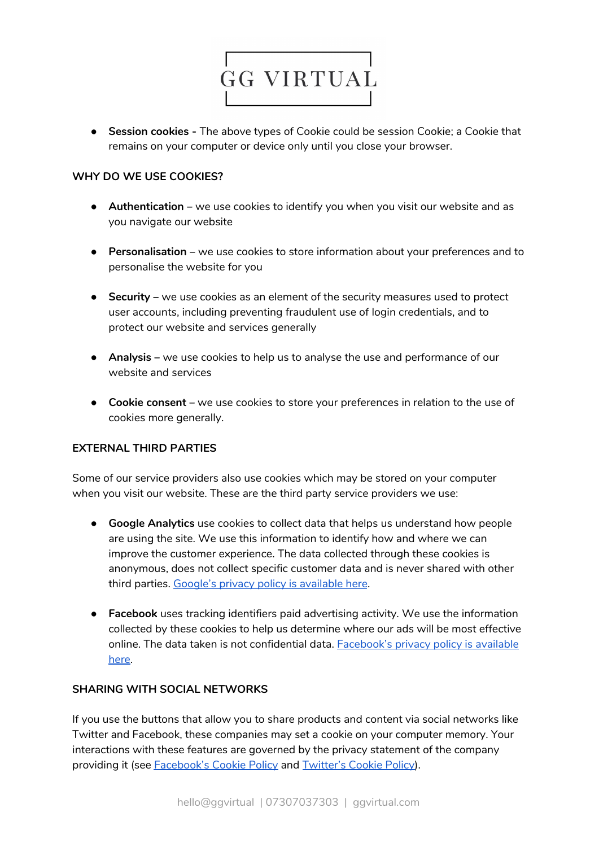

● **Session cookies -** The above types of Cookie could be session Cookie; a Cookie that remains on your computer or device only until you close your browser.

### **WHY DO WE USE COOKIES?**

- **Authentication –** we use cookies to identify you when you visit our website and as you navigate our website
- **Personalisation –** we use cookies to store information about your preferences and to personalise the website for you
- **Security –** we use cookies as an element of the security measures used to protect user accounts, including preventing fraudulent use of login credentials, and to protect our website and services generally
- **Analysis –** we use cookies to help us to analyse the use and performance of our website and services
- **Cookie consent –** we use cookies to store your preferences in relation to the use of cookies more generally.

#### **EXTERNAL THIRD PARTIES**

Some of our service providers also use cookies which may be stored on your computer when you visit our website. These are the third party service providers we use:

- **Google Analytics** use cookies to collect data that helps us understand how people are using the site. We use this information to identify how and where we can improve the customer experience. The data collected through these cookies is anonymous, does not collect specific customer data and is never shared with other third parties. Google's privacy policy is [available](https://www.google.com/policies/privacy/) here.
- **Facebook** uses tracking identifiers paid advertising activity. We use the information collected by these cookies to help us determine where our ads will be most effective online. The data taken is not confidential data. **[Facebook's](https://www.facebook.com/about/privacy/) privacy policy is available** [here.](https://www.facebook.com/about/privacy/)

#### **SHARING WITH SOCIAL NETWORKS**

If you use the buttons that allow you to share products and content via social networks like Twitter and Facebook, these companies may set a cookie on your computer memory. Your interactions with these features are governed by the privacy statement of the company providing it (see [Facebook's](https://www.facebook.com/policies/cookies/) Cookie Policy and [Twitter's](https://help.twitter.com/en/rules-and-policies/twitter-cookies) Cookie Policy).